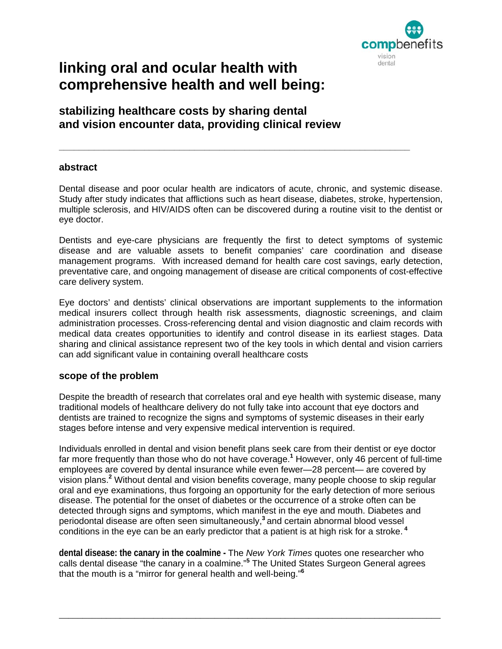

# **linking oral and ocular health with comprehensive health and well being:**

## **stabilizing healthcare costs by sharing dental and vision encounter data, providing clinical review**

## **abstract**

Dental disease and poor ocular health are indicators of acute, chronic, and systemic disease. Study after study indicates that afflictions such as heart disease, diabetes, stroke, hypertension, multiple sclerosis, and HIV/AIDS often can be discovered during a routine visit to the dentist or eye doctor.

**\_\_\_\_\_\_\_\_\_\_\_\_\_\_\_\_\_\_\_\_\_\_\_\_\_\_\_\_\_\_\_\_\_\_\_\_\_\_\_\_\_\_\_\_\_\_\_\_\_\_\_\_\_\_\_\_\_\_\_\_\_\_\_\_\_\_\_\_\_\_** 

Dentists and eye-care physicians are frequently the first to detect symptoms of systemic disease and are valuable assets to benefit companies' care coordination and disease management programs. With increased demand for health care cost savings, early detection, preventative care, and ongoing management of disease are critical components of cost-effective care delivery system.

Eye doctors' and dentists' clinical observations are important supplements to the information medical insurers collect through health risk assessments, diagnostic screenings, and claim administration processes. Cross-referencing dental and vision diagnostic and claim records with medical data creates opportunities to identify and control disease in its earliest stages. Data sharing and clinical assistance represent two of the key tools in which dental and vision carriers can add significant value in containing overall healthcare costs

## **scope of the problem**

Despite the breadth of research that correlates oral and eye health with systemic disease, many traditional models of healthcare delivery do not fully take into account that eye doctors and dentists are trained to recognize the signs and symptoms of systemic diseases in their early stages before intense and very expensive medical intervention is required.

Individuals enrolled in dental and vision benefit plans seek care from their dentist or eye doctor far more frequently than those who do not have coverage.**<sup>1</sup>** However, only 46 percent of full-time employees are covered by dental insurance while even fewer—28 percent— are covered by vision plans.**<sup>2</sup>** Without dental and vision benefits coverage, many people choose to skip regular oral and eye examinations, thus forgoing an opportunity for the early detection of more serious disease. The potential for the onset of diabetes or the occurrence of a stroke often can be detected through signs and symptoms, which manifest in the eye and mouth. Diabetes and periodontal disease are often seen simultaneously,**<sup>3</sup>**and certain abnormal blood vessel conditions in the eye can be an early predictor that a patient is at high risk for a stroke.**<sup>4</sup>**

**dental disease: the canary in the coalmine -** The *New York Times* quotes one researcher who calls dental disease "the canary in a coalmine."**<sup>5</sup>** The United States Surgeon General agrees that the mouth is a "mirror for general health and well-being."**<sup>6</sup>**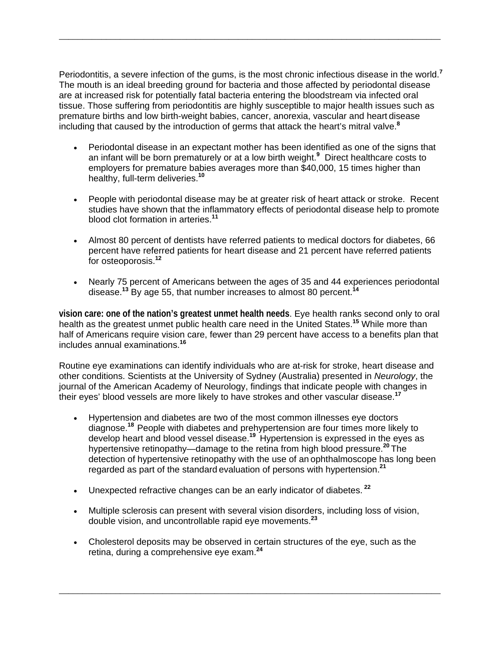Periodontitis, a severe infection of the gums, is the most chronic infectious disease in the world.**<sup>7</sup>** The mouth is an ideal breeding ground for bacteria and those affected by periodontal disease are at increased risk for potentially fatal bacteria entering the bloodstream via infected oral tissue. Those suffering from periodontitis are highly susceptible to major health issues such as premature births and low birth-weight babies, cancer, anorexia, vascular and heart disease including that caused by the introduction of germs that attack the heart's mitral valve.**<sup>8</sup>**

*\_\_\_\_\_\_\_\_\_\_\_\_\_\_\_\_\_\_\_\_\_\_\_\_\_\_\_\_\_\_\_\_\_\_\_\_\_\_\_\_\_\_\_\_\_\_\_\_\_\_\_\_\_\_\_\_\_\_\_\_\_\_\_\_\_\_\_\_\_\_\_\_\_\_\_\_\_\_\_\_\_*

- Periodontal disease in an expectant mother has been identified as one of the signs that an infant will be born prematurely or at a low birth weight.**<sup>9</sup>** Direct healthcare costs to employers for premature babies averages more than \$40,000, 15 times higher than healthy, full-term deliveries.**<sup>10</sup>**
- People with periodontal disease may be at greater risk of heart attack or stroke. Recent studies have shown that the inflammatory effects of periodontal disease help to promote blood clot formation in arteries.**<sup>11</sup>**
- Almost 80 percent of dentists have referred patients to medical doctors for diabetes, 66 percent have referred patients for heart disease and 21 percent have referred patients for osteoporosis.**<sup>12</sup>**
- Nearly 75 percent of Americans between the ages of 35 and 44 experiences periodontal disease.**<sup>13</sup>** By age 55, that number increases to almost 80 percent.**<sup>14</sup>**

**vision care: one of the nation's greatest unmet health needs**. Eye health ranks second only to oral health as the greatest unmet public health care need in the United States.**<sup>15</sup>** While more than half of Americans require vision care, fewer than 29 percent have access to a benefits plan that includes annual examinations.**<sup>16</sup>**

Routine eye examinations can identify individuals who are at-risk for stroke, heart disease and other conditions. Scientists at the University of Sydney (Australia) presented in *Neurology*, the journal of the American Academy of Neurology, findings that indicate people with changes in their eyes' blood vessels are more likely to have strokes and other vascular disease.**<sup>17</sup>**

- Hypertension and diabetes are two of the most common illnesses eye doctors diagnose.**<sup>18</sup>**People with diabetes and prehypertension are four times more likely to develop heart and blood vessel disease.<sup>19</sup> Hypertension is expressed in the eyes as hypertensive retinopathy—damage to the retina from high blood pressure. **<sup>20</sup>**The detection of hypertensive retinopathy with the use of an ophthalmoscope has long been regarded as part of the standard evaluation of persons with hypertension.**<sup>21</sup>**
- Unexpected refractive changes can be an early indicator of diabetes.**<sup>22</sup>**
- Multiple sclerosis can present with several vision disorders, including loss of vision, double vision, and uncontrollable rapid eye movements.**<sup>23</sup>**
- Cholesterol deposits may be observed in certain structures of the eye, such as the retina, during a comprehensive eye exam.**<sup>24</sup>**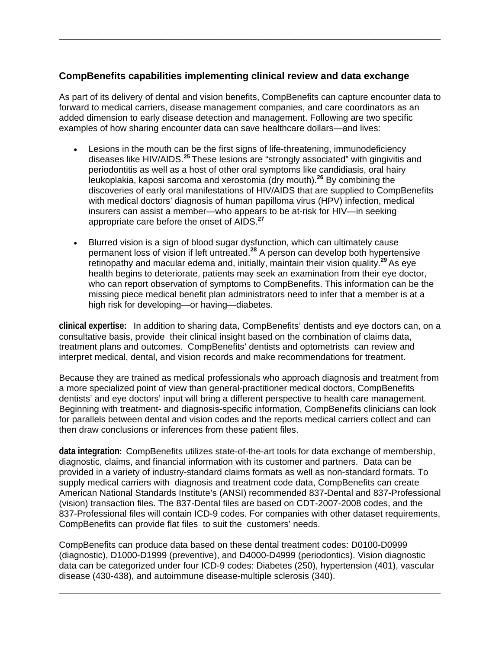## **CompBenefits capabilities implementing clinical review and data exchange**

As part of its delivery of dental and vision benefits, CompBenefits can capture encounter data to forward to medical carriers, disease management companies, and care coordinators as an added dimension to early disease detection and management. Following are two specific examples of how sharing encounter data can save healthcare dollars—and lives:

*\_\_\_\_\_\_\_\_\_\_\_\_\_\_\_\_\_\_\_\_\_\_\_\_\_\_\_\_\_\_\_\_\_\_\_\_\_\_\_\_\_\_\_\_\_\_\_\_\_\_\_\_\_\_\_\_\_\_\_\_\_\_\_\_\_\_\_\_\_\_\_\_\_\_\_\_\_\_\_\_\_*

- Lesions in the mouth can be the first signs of life-threatening, immunodeficiency diseases like HIV/AIDS.**<sup>25</sup>**These lesions are "strongly associated" with gingivitis and periodontitis as well as a host of other oral symptoms like candidiasis, oral hairy leukoplakia, kaposi sarcoma and xerostomia (dry mouth).**<sup>26</sup>** By combining the discoveries of early oral manifestations of HIV/AIDS that are supplied to CompBenefits with medical doctors' diagnosis of human papilloma virus (HPV) infection, medical insurers can assist a member—who appears to be at-risk for HIV—in seeking appropriate care before the onset of AIDS.**<sup>27</sup>**
- Blurred vision is a sign of blood sugar dysfunction, which can ultimately cause permanent loss of vision if left untreated.**<sup>28</sup>** A person can develop both hypertensive retinopathy and macular edema and, initially, maintain their vision quality.**<sup>29</sup>**As eye health begins to deteriorate, patients may seek an examination from their eye doctor, who can report observation of symptoms to CompBenefits. This information can be the missing piece medical benefit plan administrators need to infer that a member is at a high risk for developing—or having—diabetes.

**clinical expertise:** In addition to sharing data, CompBenefits' dentists and eye doctors can, on a consultative basis, provide their clinical insight based on the combination of claims data, treatment plans and outcomes. CompBenefits' dentists and optometrists can review and interpret medical, dental, and vision records and make recommendations for treatment.

Because they are trained as medical professionals who approach diagnosis and treatment from a more specialized point of view than general-practitioner medical doctors, CompBenefits dentists' and eye doctors' input will bring a different perspective to health care management. Beginning with treatment- and diagnosis-specific information, CompBenefits clinicians can look for parallels between dental and vision codes and the reports medical carriers collect and can then draw conclusions or inferences from these patient files.

**data integration:** CompBenefits utilizes state-of-the-art tools for data exchange of membership, diagnostic, claims, and financial information with its customer and partners. Data can be provided in a variety of industry-standard claims formats as well as non-standard formats. To supply medical carriers with diagnosis and treatment code data, CompBenefits can create American National Standards Institute's (ANSI) recommended 837-Dental and 837-Professional (vision) transaction files. The 837-Dental files are based on CDT-2007-2008 codes, and the 837-Professional files will contain ICD-9 codes. For companies with other dataset requirements, CompBenefits can provide flat files to suit the customers' needs.

CompBenefits can produce data based on these dental treatment codes: D0100-D0999 (diagnostic), D1000-D1999 (preventive), and D4000-D4999 (periodontics). Vision diagnostic data can be categorized under four ICD-9 codes: Diabetes (250), hypertension (401), vascular disease (430-438), and autoimmune disease-multiple sclerosis (340).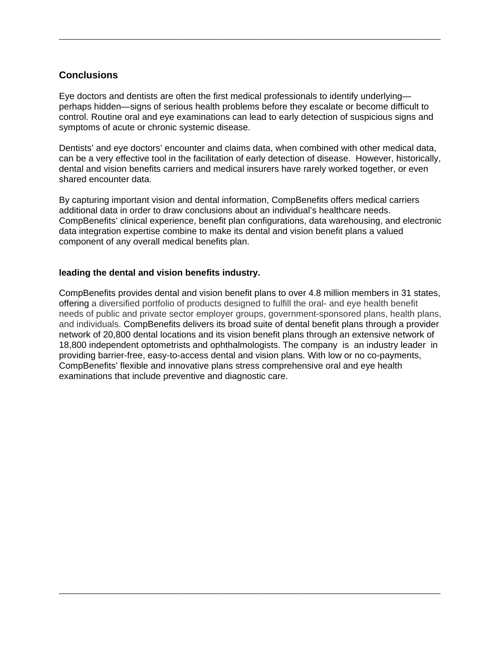## **Conclusions**

Eye doctors and dentists are often the first medical professionals to identify underlying perhaps hidden—signs of serious health problems before they escalate or become difficult to control. Routine oral and eye examinations can lead to early detection of suspicious signs and symptoms of acute or chronic systemic disease.

*\_\_\_\_\_\_\_\_\_\_\_\_\_\_\_\_\_\_\_\_\_\_\_\_\_\_\_\_\_\_\_\_\_\_\_\_\_\_\_\_\_\_\_\_\_\_\_\_\_\_\_\_\_\_\_\_\_\_\_\_\_\_\_\_\_\_\_\_\_\_\_\_\_\_\_\_\_\_\_\_\_*

Dentists' and eye doctors' encounter and claims data, when combined with other medical data, can be a very effective tool in the facilitation of early detection of disease. However, historically, dental and vision benefits carriers and medical insurers have rarely worked together, or even shared encounter data.

By capturing important vision and dental information, CompBenefits offers medical carriers additional data in order to draw conclusions about an individual's healthcare needs. CompBenefits' clinical experience, benefit plan configurations, data warehousing, and electronic data integration expertise combine to make its dental and vision benefit plans a valued component of any overall medical benefits plan.

#### **leading the dental and vision benefits industry.**

CompBenefits provides dental and vision benefit plans to over 4.8 million members in 31 states, offering a diversified portfolio of products designed to fulfill the oral- and eye health benefit needs of public and private sector employer groups, government-sponsored plans, health plans, and individuals. CompBenefits delivers its broad suite of dental benefit plans through a provider network of 20,800 dental locations and its vision benefit plans through an extensive network of 18,800 independent optometrists and ophthalmologists. The company is an industry leader in providing barrier-free, easy-to-access dental and vision plans. With low or no co-payments, CompBenefits' flexible and innovative plans stress comprehensive oral and eye health examinations that include preventive and diagnostic care.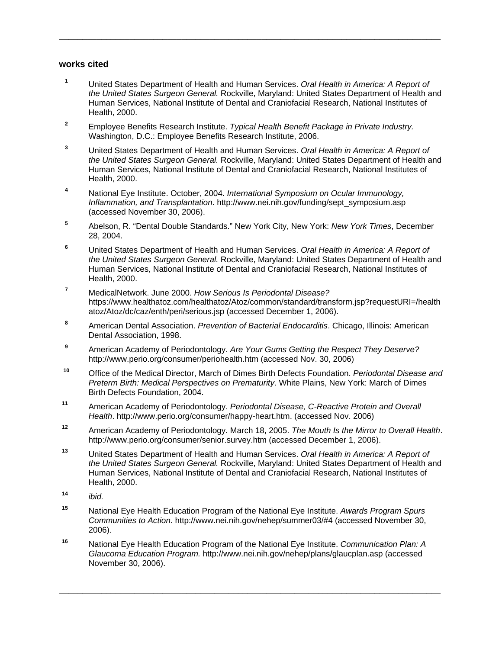#### **works cited**

**<sup>1</sup>** United States Department of Health and Human Services. *Oral Health in America: A Report of the United States Surgeon General.* Rockville, Maryland: United States Department of Health and Human Services, National Institute of Dental and Craniofacial Research, National Institutes of Health, 2000.

*\_\_\_\_\_\_\_\_\_\_\_\_\_\_\_\_\_\_\_\_\_\_\_\_\_\_\_\_\_\_\_\_\_\_\_\_\_\_\_\_\_\_\_\_\_\_\_\_\_\_\_\_\_\_\_\_\_\_\_\_\_\_\_\_\_\_\_\_\_\_\_\_\_\_\_\_\_\_\_\_\_*

- **<sup>2</sup>** Employee Benefits Research Institute. *Typical Health Benefit Package in Private Industry.*  Washington, D.C.: Employee Benefits Research Institute, 2006.
- **<sup>3</sup>** United States Department of Health and Human Services. *Oral Health in America: A Report of the United States Surgeon General.* Rockville, Maryland: United States Department of Health and Human Services, National Institute of Dental and Craniofacial Research, National Institutes of Health, 2000.
- **<sup>4</sup>** National Eye Institute. October, 2004. *International Symposium on Ocular Immunology, Inflammation, and Transplantation*. http://www.nei.nih.gov/funding/sept\_symposium.asp (accessed November 30, 2006).
- **<sup>5</sup>** Abelson, R. "Dental Double Standards." New York City, New York: *New York Times*, December 28, 2004.
- **<sup>6</sup>** United States Department of Health and Human Services. *Oral Health in America: A Report of the United States Surgeon General.* Rockville, Maryland: United States Department of Health and Human Services, National Institute of Dental and Craniofacial Research, National Institutes of Health, 2000.
- **<sup>7</sup>** MedicalNetwork. June 2000. *How Serious Is Periodontal Disease?* [https://www.healthatoz.com/healthatoz/Atoz/common/standard/transform.jsp?requestURI=/health](https://www.healthatoz.com/healthatoz/Atoz/common/standard/transform.jsp?requestURI=/healthatoz/Atoz/dc/caz/enth/peri/serious.jsp) [atoz/Atoz/dc/caz/enth/peri/serious.jsp](https://www.healthatoz.com/healthatoz/Atoz/common/standard/transform.jsp?requestURI=/healthatoz/Atoz/dc/caz/enth/peri/serious.jsp) (accessed December 1, 2006).
- **<sup>8</sup>** American Dental Association. *Prevention of Bacterial Endocarditis*. Chicago, Illinois: American Dental Association, 1998.
- **<sup>9</sup>** American Academy of Periodontology. *Are Your Gums Getting the Respect They Deserve?* <http://www.perio.org/consumer/periohealth.htm> (accessed Nov. 30, 2006)
- **<sup>10</sup>** Office of the Medical Director, March of Dimes Birth Defects Foundation. *Periodontal Disease and Preterm Birth: Medical Perspectives on Prematurity*. White Plains, New York: March of Dimes Birth Defects Foundation, 2004.
- **<sup>11</sup>** American Academy of Periodontology. *Periodontal Disease, C-Reactive Protein and Overall Health*. http://www.perio.org/consumer/happy-heart.htm. (accessed Nov. 2006)
- **<sup>12</sup>** American Academy of Periodontology. March 18, 2005. *The Mouth Is the Mirror to Overall Health*. <http://www.perio.org/consumer/senior.survey.htm> (accessed December 1, 2006).
- **<sup>13</sup>** United States Department of Health and Human Services. *Oral Health in America: A Report of the United States Surgeon General.* Rockville, Maryland: United States Department of Health and Human Services, National Institute of Dental and Craniofacial Research, National Institutes of Health, 2000.
- **<sup>14</sup>** *ibid.*
- **<sup>15</sup>** National Eye Health Education Program of the National Eye Institute. *Awards Program Spurs Communities to Action*. http://www.nei.nih.gov/nehep/summer03/#4 (accessed November 30, 2006).
- **<sup>16</sup>** National Eye Health Education Program of the National Eye Institute. *Communication Plan: A Glaucoma Education Program.* <http://www.nei.nih.gov/nehep/plans/glaucplan.asp> (accessed November 30, 2006).